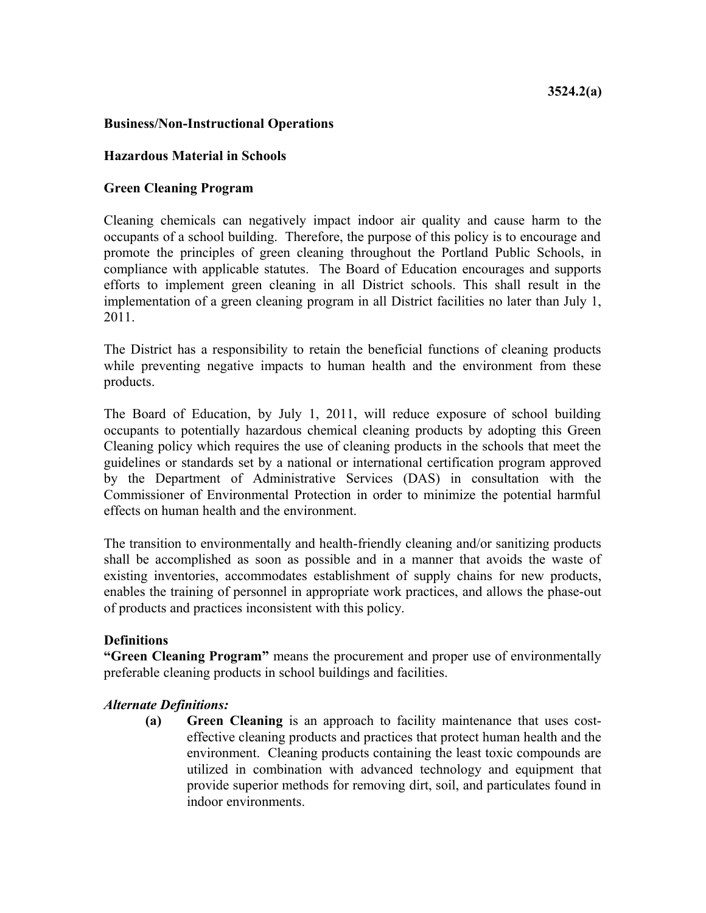# **Business/Non-Instructional Operations**

## **Hazardous Material in Schools**

# **Green Cleaning Program**

Cleaning chemicals can negatively impact indoor air quality and cause harm to the occupants of a school building. Therefore, the purpose of this policy is to encourage and promote the principles of green cleaning throughout the Portland Public Schools, in compliance with applicable statutes. The Board of Education encourages and supports efforts to implement green cleaning in all District schools. This shall result in the implementation of a green cleaning program in all District facilities no later than July 1, 2011.

The District has a responsibility to retain the beneficial functions of cleaning products while preventing negative impacts to human health and the environment from these products.

The Board of Education, by July 1, 2011, will reduce exposure of school building occupants to potentially hazardous chemical cleaning products by adopting this Green Cleaning policy which requires the use of cleaning products in the schools that meet the guidelines or standards set by a national or international certification program approved by the Department of Administrative Services (DAS) in consultation with the Commissioner of Environmental Protection in order to minimize the potential harmful effects on human health and the environment.

The transition to environmentally and health-friendly cleaning and/or sanitizing products shall be accomplished as soon as possible and in a manner that avoids the waste of existing inventories, accommodates establishment of supply chains for new products, enables the training of personnel in appropriate work practices, and allows the phase-out of products and practices inconsistent with this policy.

### **Definitions**

**"Green Cleaning Program"** means the procurement and proper use of environmentally preferable cleaning products in school buildings and facilities.

# *Alternate Definitions:*

**(a) Green Cleaning** is an approach to facility maintenance that uses costeffective cleaning products and practices that protect human health and the environment. Cleaning products containing the least toxic compounds are utilized in combination with advanced technology and equipment that provide superior methods for removing dirt, soil, and particulates found in indoor environments.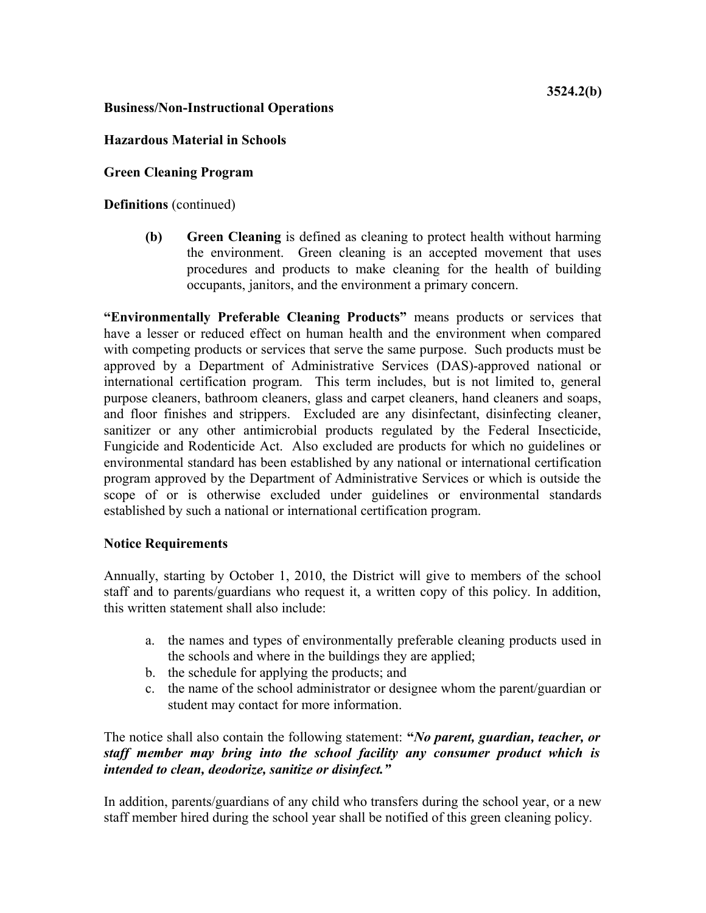# **Business/Non-Instructional Operations**

# **Hazardous Material in Schools**

**Green Cleaning Program**

**Definitions** (continued)

**(b) Green Cleaning** is defined as cleaning to protect health without harming the environment. Green cleaning is an accepted movement that uses procedures and products to make cleaning for the health of building occupants, janitors, and the environment a primary concern.

**"Environmentally Preferable Cleaning Products"** means products or services that have a lesser or reduced effect on human health and the environment when compared with competing products or services that serve the same purpose. Such products must be approved by a Department of Administrative Services (DAS)-approved national or international certification program. This term includes, but is not limited to, general purpose cleaners, bathroom cleaners, glass and carpet cleaners, hand cleaners and soaps, and floor finishes and strippers. Excluded are any disinfectant, disinfecting cleaner, sanitizer or any other antimicrobial products regulated by the Federal Insecticide, Fungicide and Rodenticide Act. Also excluded are products for which no guidelines or environmental standard has been established by any national or international certification program approved by the Department of Administrative Services or which is outside the scope of or is otherwise excluded under guidelines or environmental standards established by such a national or international certification program.

# **Notice Requirements**

Annually, starting by October 1, 2010, the District will give to members of the school staff and to parents/guardians who request it, a written copy of this policy. In addition, this written statement shall also include:

- a. the names and types of environmentally preferable cleaning products used in the schools and where in the buildings they are applied;
- b. the schedule for applying the products; and
- c. the name of the school administrator or designee whom the parent/guardian or student may contact for more information.

The notice shall also contain the following statement: **"***No parent, guardian, teacher, or staff member may bring into the school facility any consumer product which is intended to clean, deodorize, sanitize or disinfect."*

In addition, parents/guardians of any child who transfers during the school year, or a new staff member hired during the school year shall be notified of this green cleaning policy.